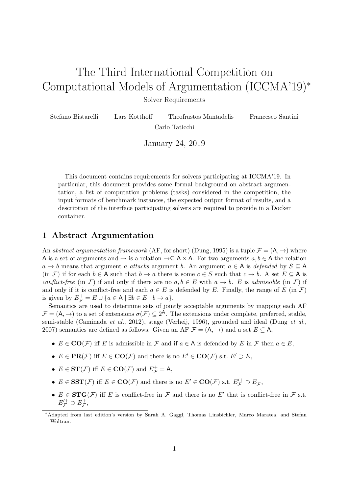# The Third International Competition on Computational Models of Argumentation (ICCMA'19)<sup>∗</sup>

Solver Requirements

| Stefano Bistarelli | Lars Kotthoff | Theofrastos Mantadelis | Francesco Santini |
|--------------------|---------------|------------------------|-------------------|
| Carlo Taticchi     |               |                        |                   |

January 24, 2019

This document contains requirements for solvers participating at ICCMA'19. In particular, this document provides some formal background on abstract argumentation, a list of computation problems (tasks) considered in the competition, the input formats of benchmark instances, the expected output format of results, and a description of the interface participating solvers are required to provide in a Docker container.

## 1 Abstract Argumentation

An abstract argumentation framework (AF, for short) [\(Dung, 1995\)](#page-12-0) is a tuple  $\mathcal{F} = (A, \rightarrow)$  where A is a set of arguments and  $\rightarrow$  is a relation  $\rightarrow \subseteq A \times A$ . For two arguments  $a, b \in A$  the relation  $a \rightarrow b$  means that argument a attacks argument b. An argument  $a \in A$  is defended by  $S \subseteq A$ (in F) if for each  $b \in A$  such that  $b \to a$  there is some  $c \in S$  such that  $c \to b$ . A set  $E \subseteq A$  is conflict-free (in F) if and only if there are no  $a, b \in E$  with  $a \to b$ . E is admissible (in F) if and only if it is conflict-free and each  $a \in E$  is defended by E. Finally, the range of E (in F) is given by  $E_{\mathcal{F}}^{+} = E \cup \{a \in A \mid \exists b \in E : b \to a\}.$ 

Semantics are used to determine sets of jointly acceptable arguments by mapping each AF  $\mathcal{F} = (A, \rightarrow)$  to a set of extensions  $\sigma(\mathcal{F}) \subseteq 2^A$ . The extensions under complete, preferred, stable, semi-stable [\(Caminada](#page-12-1) et al., [2012\)](#page-12-1), stage [\(Verheij, 1996\)](#page-13-0), grounded and ideal [\(Dung](#page-12-2) et al., [2007\)](#page-12-2) semantics are defined as follows. Given an AF  $\mathcal{F} = (A, \rightarrow)$  and a set  $E \subseteq A$ ,

- $E \in \mathbf{CO}(\mathcal{F})$  iff E is admissible in  $\mathcal{F}$  and if  $a \in A$  is defended by E in  $\mathcal{F}$  then  $a \in E$ ,
- $E \in \textbf{PR}(\mathcal{F})$  iff  $E \in \textbf{CO}(\mathcal{F})$  and there is no  $E' \in \textbf{CO}(\mathcal{F})$  s.t.  $E' \supset E$ ,
- $E \in ST(\mathcal{F})$  iff  $E \in \mathbf{CO}(\mathcal{F})$  and  $E_{\mathcal{F}}^{+} = A$ ,
- $E \in \mathbf{SST}(\mathcal{F})$  iff  $E \in \mathbf{CO}(\mathcal{F})$  and there is no  $E' \in \mathbf{CO}(\mathcal{F})$  s.t.  $E_{\mathcal{F}}'^+ \supset E_{\mathcal{F}}^+$ ,
- $E \in \text{STG}(\mathcal{F})$  iff E is conflict-free in  $\mathcal{F}$  and there is no E' that is conflict-free in  $\mathcal{F}$  s.t.  $E_{\mathcal{F}}'^+ \supset E_{\mathcal{F}}^+,$

<sup>∗</sup>Adapted from last edition's version by Sarah A. Gaggl, Thomas Linsbichler, Marco Maratea, and Stefan Woltran.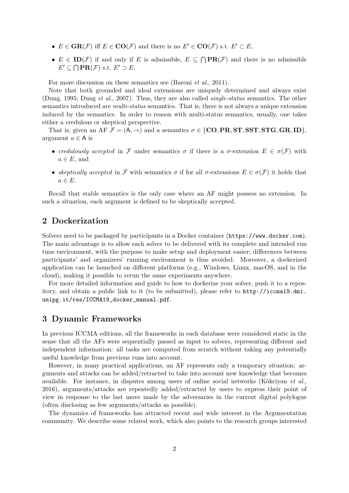- $E \in \text{GR}(\mathcal{F})$  iff  $E \in \text{CO}(\mathcal{F})$  and there is no  $E' \in \text{CO}(\mathcal{F})$  s.t.  $E' \subset E$ ,
- $E \in ID(\mathcal{F})$  if and only if E is admissible,  $E \subseteq \bigcap PR(\mathcal{F})$  and there is no admissible  $E' \subseteq \bigcap \textbf{PR}(\mathcal{F}) \text{ s.t. } E' \supset E.$

For more discussion on these semantics see [\(Baroni](#page-12-3) *et al.*, [2011\)](#page-12-3).

Note that both grounded and ideal extensions are uniquely determined and always exist [\(Dung, 1995;](#page-12-0) [Dung](#page-12-2) et al., [2007\)](#page-12-2). Thus, they are also called single-status semantics. The other semantics introduced are *multi-status* semantics. That is, there is not always a unique extension induced by the semantics. In order to reason with multi-status semantics, usually, one takes either a credulous or skeptical perspective.

That is, given an AF  $\mathcal{F} = (A, \rightarrow)$  and a semantics  $\sigma \in \{CO, PR, ST, SST, STG, GR, ID\}$ , argument  $a \in A$  is

- credulously accepted in F under semantics  $\sigma$  if there is a  $\sigma$ -extension  $E \in \sigma(F)$  with  $a \in E$ , and
- skeptically accepted in F with semantics  $\sigma$  if for all  $\sigma$ -extensions  $E \in \sigma(F)$  it holds that  $a \in E$ .

Recall that stable semantics is the only case where an AF might possess no extension. In such a situation, each argument is defined to be skeptically accepted.

# <span id="page-1-0"></span>2 Dockerization

Solvers need to be packaged by participants in a Docker container (<https://www.docker.com>). The main advantage is to allow each solver to be delivered with its complete and intended run time environment, with the purpose to make setup and deployment easier; differences between participants' and organizers' running environment is thus avoided. Moreover, a dockerized application can be launched on different platforms (e.g., Windows, Linux, macOS, and in the cloud), making it possible to rerun the same experiments anywhere.

For more detailed information and guide to how to dockerize your solver, push it to a repository, and obtain a public link to it (to be submitted), please refer to [http://iccma19.dmi.](http://iccma19.dmi.unipg.it/res/ICCMA19_docker_manual.pdf) [unipg.it/res/ICCMA19\\_docker\\_manual.pdf](http://iccma19.dmi.unipg.it/res/ICCMA19_docker_manual.pdf).

## 3 Dynamic Frameworks

In previous ICCMA editions, all the frameworks in each database were considered static in the sense that all the AFs were sequentially passed as input to solvers, representing different and independent information: all tasks are computed from scratch without taking any potentially useful knowledge from previous runs into account.

However, in many practical applications, an AF represents only a temporary situation: arguments and attacks can be added/retracted to take into account new knowledge that becomes available. For instance, in disputes among users of online social networks (Kökciyan et al., [2016\)](#page-12-4), arguments/attacks are repeatedly added/retracted by users to express their point of view in response to the last move made by the adversaries in the current digital polylogue (often disclosing as few arguments/attacks as possible).

The dynamics of frameworks has attracted recent and wide interest in the Argumentation community. We describe some related work, which also points to the research groups interested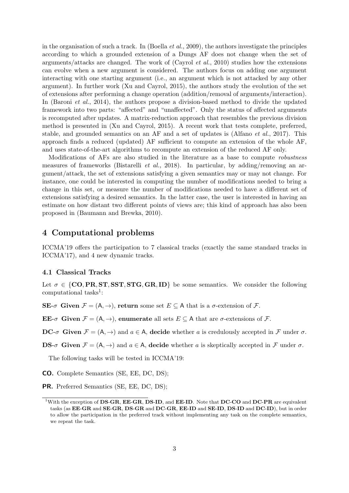in the organisation of such a track. In [\(Boella](#page-12-5) *et al.*, [2009\)](#page-12-5), the authors investigate the principles according to which a grounded extension of a Dungs AF does not change when the set of arguments/attacks are changed. The work of  $(Cayrol et al., 2010)$  $(Cayrol et al., 2010)$  $(Cayrol et al., 2010)$  studies how the extensions can evolve when a new argument is considered. The authors focus on adding one argument interacting with one starting argument (i.e., an argument which is not attacked by any other argument). In further work [\(Xu and Cayrol, 2015\)](#page-13-1), the authors study the evolution of the set of extensions after performing a change operation (addition/removal of arguments/interaction). In [\(Baroni](#page-12-7) *et al.*, [2014\)](#page-12-7), the authors propose a division-based method to divide the updated framework into two parts: "affected" and "unaffected". Only the status of affected arguments is recomputed after updates. A matrix-reduction approach that resembles the previous division method is presented in [\(Xu and Cayrol, 2015\)](#page-13-1). A recent work that tests complete, preferred, stable, and grounded semantics on an AF and a set of updates is [\(Alfano](#page-12-8) et al., [2017\)](#page-12-8). This approach finds a reduced (updated) AF sufficient to compute an extension of the whole AF, and uses state-of-the-art algorithms to recompute an extension of the reduced AF only.

Modifications of AFs are also studied in the literature as a base to compute robustness measures of frameworks [\(Bistarelli](#page-12-9) *et al.*, [2018\)](#page-12-9). In particular, by adding/removing an argument/attack, the set of extensions satisfying a given semantics may or may not change. For instance, one could be interested in computing the number of modifications needed to bring a change in this set, or measure the number of modifications needed to have a different set of extensions satisfying a desired semantics. In the latter case, the user is interested in having an estimate on how distant two different points of views are; this kind of approach has also been proposed in [\(Baumann and Brewka, 2010\)](#page-12-10).

## 4 Computational problems

ICCMA'19 offers the participation to 7 classical tracks (exactly the same standard tracks in ICCMA'17), and 4 new dynamic tracks.

#### 4.1 Classical Tracks

Let  $\sigma \in \{CO, PR, ST, SST, STG, GR, ID\}$  be some semantics. We consider the following computational tasks<sup>[1](#page-2-0)</sup>:

 $\mathbf{SE}\text{-}\sigma$  Given  $\mathcal{F} = (A, \rightarrow)$ , return some set  $E \subset A$  that is a  $\sigma$ -extension of  $\mathcal{F}$ .

EE- $\sigma$  Given  $\mathcal{F} = (A, \rightarrow)$ , enumerate all sets  $E \subset A$  that are  $\sigma$ -extensions of  $\mathcal{F}$ .

**DC-** $\sigma$  Given  $\mathcal{F} = (A, \rightarrow)$  and  $a \in A$ , decide whether a is credulously accepted in  $\mathcal{F}$  under  $\sigma$ .

**DS-** $\sigma$  Given  $\mathcal{F} = (A, \rightarrow)$  and  $a \in A$ , decide whether a is skeptically accepted in  $\mathcal{F}$  under  $\sigma$ .

The following tasks will be tested in ICCMA'19:

CO. Complete Semantics (SE, EE, DC, DS);

PR. Preferred Semantics (SE, EE, DC, DS);

<span id="page-2-0"></span><sup>&</sup>lt;sup>1</sup>With the exception of DS-GR, EE-GR, DS-ID, and EE-ID. Note that DC-CO and DC-PR are equivalent tasks (as EE-GR and SE-GR, DS-GR and DC-GR, EE-ID and SE-ID, DS-ID and DC-ID), but in order to allow the participation in the preferred track without implementing any task on the complete semantics, we repeat the task.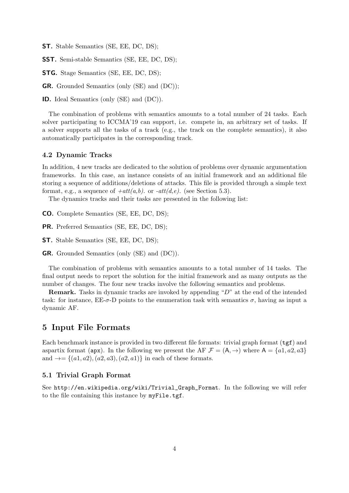ST. Stable Semantics (SE, EE, DC, DS);

SST. Semi-stable Semantics (SE, EE, DC, DS);

STG. Stage Semantics (SE, EE, DC, DS);

GR. Grounded Semantics (only (SE) and (DC));

ID. Ideal Semantics (only (SE) and (DC)).

The combination of problems with semantics amounts to a total number of 24 tasks. Each solver participating to ICCMA'19 can support, i.e. compete in, an arbitrary set of tasks. If a solver supports all the tasks of a track (e.g., the track on the complete semantics), it also automatically participates in the corresponding track.

#### 4.2 Dynamic Tracks

In addition, 4 new tracks are dedicated to the solution of problems over dynamic argumentation frameworks. In this case, an instance consists of an initial framework and an additional file storing a sequence of additions/deletions of attacks. This file is provided through a simple text format, e.g., a sequence of  $+att(a,b)$ . or  $-att(d,e)$ . (see Section [5.3\)](#page-4-0).

The dynamics tracks and their tasks are presented in the following list:

CO. Complete Semantics (SE, EE, DC, DS);

PR. Preferred Semantics (SE, EE, DC, DS);

ST. Stable Semantics (SE, EE, DC, DS);

GR. Grounded Semantics (only (SE) and (DC)).

The combination of problems with semantics amounts to a total number of 14 tasks. The final output needs to report the solution for the initial framework and as many outputs as the number of changes. The four new tracks involve the following semantics and problems.

Remark. Tasks in dynamic tracks are invoked by appending "D" at the end of the intended task: for instance,  $EE-\sigma$ -D points to the enumeration task with semantics  $\sigma$ , having as input a dynamic AF.

### 5 Input File Formats

Each benchmark instance is provided in two different file formats: trivial graph format ( $\text{tgf}$ ) and aspartix format (apx). In the following we present the AF  $\mathcal{F} = (\mathsf{A}, \rightarrow)$  where  $\mathsf{A} = \{a1, a2, a3\}$ and  $\rightarrow = \{(a1, a2), (a2, a3), (a2, a1)\}\$ in each of these formats.

#### <span id="page-3-0"></span>5.1 Trivial Graph Format

See [http://en.wikipedia.org/wiki/Trivial\\_Graph\\_Format](http://en.wikipedia.org/wiki/Trivial_Graph_Format). In the following we will refer to the file containing this instance by myFile.tgf.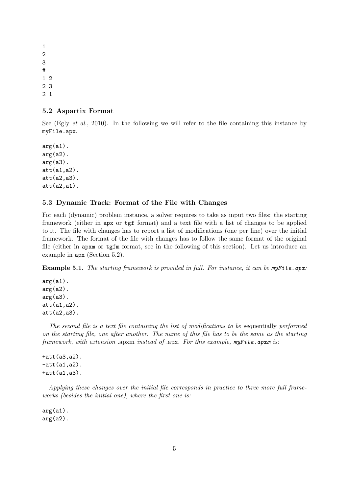#### <span id="page-4-1"></span>5.2 Aspartix Format

See (Egly *[et al.](#page-12-11)*, [2010\)](#page-12-11). In the following we will refer to the file containing this instance by myFile.apx.

 $arg(a1)$ .  $arg(a2)$ .  $arg(a3)$ . att(a1,a2). att(a2,a3).  $att(a2,a1)$ .

#### <span id="page-4-0"></span>5.3 Dynamic Track: Format of the File with Changes

For each (dynamic) problem instance, a solver requires to take as input two files: the starting framework (either in apx or tgf format) and a text file with a list of changes to be applied to it. The file with changes has to report a list of modifications (one per line) over the initial framework. The format of the file with changes has to follow the same format of the original file (either in apxm or tgfm format, see in the following of this section). Let us introduce an example in apx (Section [5.2\)](#page-4-1).

<span id="page-4-2"></span>Example 5.1. The starting framework is provided in full. For instance, it can be myFile.apx:

 $arg(a1)$ .  $arg(a2)$ .  $arg(a3)$ . att(a1,a2). att(a2,a3).

The second file is a text file containing the list of modifications to be sequentially performed on the starting file, one after another. The name of this file has to be the same as the starting framework, with extension .apxm instead of .apx. For this example, myFile.apxm is:

+att(a3,a2).  $-att(a1,a2)$ .  $+$ att $(a1, a3)$ .

Applying these changes over the initial file corresponds in practice to three more full frameworks (besides the initial one), where the first one is:

 $arg(a1)$ .  $arg(a2)$ .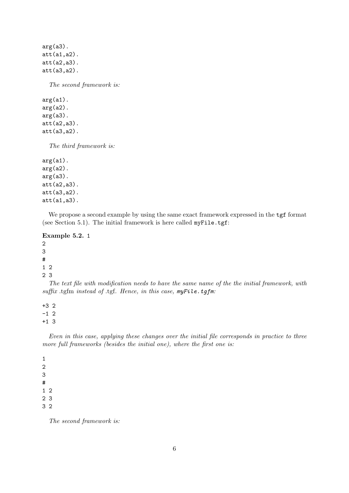arg(a3). att(a1,a2). att(a2,a3). att(a3,a2).

The second framework is:

 $arg(a1)$ .  $arg(a2)$ . arg(a3). att(a2,a3). att(a3,a2).

The third framework is:

 $arg(a1)$ .  $arg(a2)$ .  $arg(a3)$ . att(a2,a3). att(a3,a2). att(a1,a3).

We propose a second example by using the same exact framework expressed in the tgf format (see Section [5.1\)](#page-3-0). The initial framework is here called myFile.tgf:

Example 5.2. 1 2 3 # 1 2 2 3

The text file with modification needs to have the same name of the the initial framework, with suffix .tgfm instead of .tgf. Hence, in this case, myFile.tgfm:

+3 2  $-1$  2

+1 3

Even in this case, applying these changes over the initial file corresponds in practice to three more full frameworks (besides the initial one), where the first one is:

The second framework is: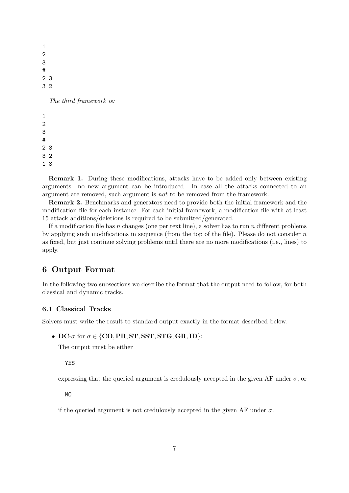1 2 3 # 2 3 3 2 The third framework is:

Remark 1. During these modifications, attacks have to be added only between existing arguments: no new argument can be introduced. In case all the attacks connected to an argument are removed, such argument is not to be removed from the framework.

Remark 2. Benchmarks and generators need to provide both the initial framework and the modification file for each instance. For each initial framework, a modification file with at least 15 attack additions/deletions is required to be submitted/generated.

If a modification file has n changes (one per text line), a solver has to run n different problems by applying such modifications in sequence (from the top of the file). Please do not consider  $n$ as fixed, but just continue solving problems until there are no more modifications (i.e., lines) to apply.

# 6 Output Format

In the following two subsections we describe the format that the output need to follow, for both classical and dynamic tracks.

#### 6.1 Classical Tracks

Solvers must write the result to standard output exactly in the format described below.

• DC- $\sigma$  for  $\sigma \in \{CO, PR, ST, SST, STG, GR, ID\}$ :

The output must be either

YES

expressing that the queried argument is credulously accepted in the given AF under  $\sigma$ , or

NO

if the queried argument is not credulously accepted in the given AF under  $\sigma$ .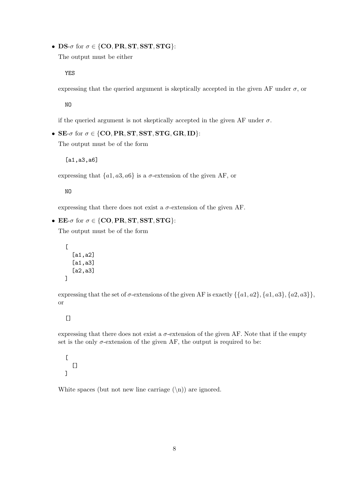• DS- $\sigma$  for  $\sigma \in \{CO, PR, ST, SST, STG\}$ :

The output must be either

YES

expressing that the queried argument is skeptically accepted in the given AF under  $\sigma$ , or

NO

if the queried argument is not skeptically accepted in the given AF under  $\sigma$ .

• SE- $\sigma$  for  $\sigma \in \{CO, PR, ST, SST, STG, GR, ID\}$ :

The output must be of the form

[a1,a3,a6]

expressing that  $\{a1, a3, a6\}$  is a  $\sigma$ -extension of the given AF, or

NO

expressing that there does not exist a  $\sigma$ -extension of the given AF.

• EE- $\sigma$  for  $\sigma \in \{CO, PR, ST, SST, STG\}$ :

The output must be of the form

```
\Gamma[a1,a2]
  [a1,a3]
  [a2,a3]
```
expressing that the set of  $\sigma$ -extensions of the given AF is exactly  $\{\{a1, a2\}, \{a1, a3\}, \{a2, a3\}\}\,$ or

 $[$ 

]

expressing that there does not exist a  $\sigma$ -extension of the given AF. Note that if the empty set is the only  $\sigma$ -extension of the given AF, the output is required to be:

 $\lbrack$  $\lbrack$ ]

White spaces (but not new line carriage  $(\n\eta)$ ) are ignored.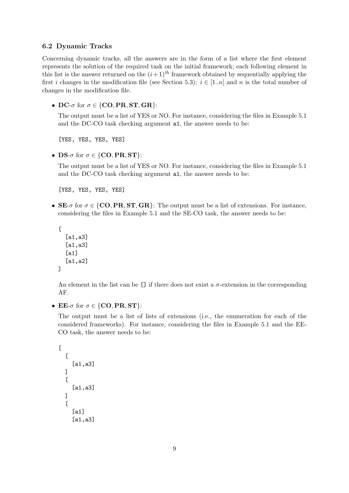#### <span id="page-8-0"></span>6.2 Dynamic Tracks

Concerning dynamic tracks, all the answers are in the form of a list where the first element represents the solution of the required task on the initial framework; each following element in this list is the answer returned on the  $(i+1)^{th}$  framework obtained by sequentially applying the first *i* changes in the modification file (see Section [5.3\)](#page-4-0):  $i \in [1..n]$  and *n* is the total number of changes in the modification file.

• DC- $\sigma$  for  $\sigma \in \{CO, PR, ST, GR\}$ :

The output must be a list of YES or NO. For instance, considering the files in Example [5.1](#page-4-2) and the DC-CO task checking argument a1, the answer needs to be:

[YES, YES, YES, YES]

• DS- $\sigma$  for  $\sigma \in \{CO, PR, ST\}$ :

The output must be a list of YES or NO. For instance, considering the files in Example [5.1](#page-4-2) and the DC-CO task checking argument a1, the answer needs to be:

[YES, YES, YES, YES]

• SE- $\sigma$  for  $\sigma \in \{CO, PR, ST, GR\}$ : The output must be a list of extensions. For instance, considering the files in Example [5.1](#page-4-2) and the SE-CO task, the answer needs to be:

```
\overline{a}[a1,a3]
   [a1,a3]
   [a1]
   [a1,a2]
]
```
An element in the list can be  $[]$  if there does not exist a  $\sigma$ -extension in the corresponding AF.

• EE- $\sigma$  for  $\sigma \in \{CO, PR, ST\}$ :

The output must be a list of lists of extensions (i.e., the enumeration for each of the considered frameworks). For instance, considering the files in Example [5.1](#page-4-2) and the EE-CO task, the answer needs to be:

```
\Gamma\lfloor[a1,a3]
   ]
   \Gamma[a1,a3]
   ]
   \Gamma[a1]
       [a1,a3]
```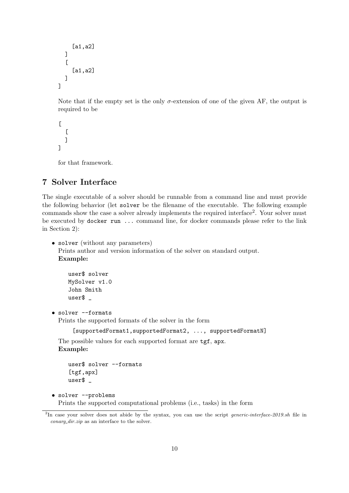```
[a1,a2]
  ]
   \Gamma[a1,a2]
  ]
]
```
Note that if the empty set is the only  $\sigma$ -extension of one of the given AF, the output is required to be

```
\Gamma\overline{a}]
\overline{1}
```
for that framework.

## 7 Solver Interface

The single executable of a solver should be runnable from a command line and must provide the following behavior (let solver be the filename of the executable. The following example commands show the case a solver already implements the required interface<sup>[2](#page-9-0)</sup>. Your solver must be executed by docker run ... command line, for docker commands please refer to the link in Section [2\)](#page-1-0):

```
• solver (without any parameters)
```
Prints author and version information of the solver on standard output. Example:

```
user$ solver
MySolver v1.0
John Smith
user$ _
```
• solver --formats

Prints the supported formats of the solver in the form

```
[supportedFormat1,supportedFormat2, ..., supportedFormatN]
```
The possible values for each supported format are tgf, apx. Example:

```
user$ solver --formats
[tgf,apx]
user$ _
```
• solver --problems

Prints the supported computational problems (i.e., tasks) in the form

<span id="page-9-0"></span><sup>&</sup>lt;sup>2</sup>In case your solver does not abide by the syntax, you can use the script *generic-interface-2019.sh* file in conarg\_dir.zip as an interface to the solver.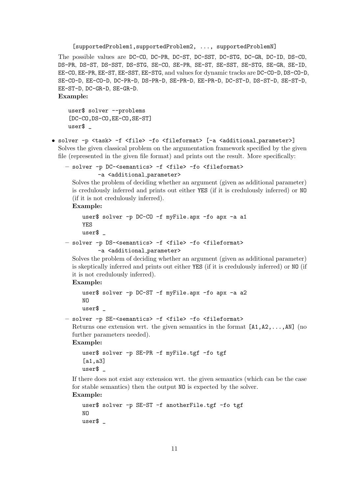[supportedProblem1,supportedProblem2, ..., supportedProblemN]

The possible values are DC-CO, DC-PR, DC-ST, DC-SST, DC-STG, DC-GR, DC-ID, DS-CO, DS-PR, DS-ST, DS-SST, DS-STG, SE-CO, SE-PR, SE-ST, SE-SST, SE-STG, SE-GR, SE-ID, EE-CO, EE-PR, EE-ST, EE-SST, EE-STG, and values for dynamic tracks are DC-CO-D, DS-CO-D, SE-CO-D, EE-CO-D, DC-PR-D, DS-PR-D, SE-PR-D, EE-PR-D, DC-ST-D, DS-ST-D, SE-ST-D, EE-ST-D, DC-GR-D, SE-GR-D.

Example:

```
user$ solver --problems
[DC-CO,DS-CO,EE-CO,SE-ST]
user$ _
```
• solver -p <task> -f <file> -fo <fileformat> [-a <additional\_parameter>] Solves the given classical problem on the argumentation framework specified by the given file (represented in the given file format) and prints out the result. More specifically:

– solver -p DC-<semantics> -f <file> -fo <fileformat>

```
-a <additional_parameter>
```
Solves the problem of deciding whether an argument (given as additional parameter) is credulously inferred and prints out either YES (if it is credulously inferred) or NO (if it is not credulously inferred).

Example:

```
user$ solver -p DC-CO -f myFile.apx -fo apx -a a1
YES
user$ _
```

```
– solver -p DS-<semantics> -f <file> -fo <fileformat>
         -a <additional_parameter>
```
Solves the problem of deciding whether an argument (given as additional parameter) is skeptically inferred and prints out either YES (if it is credulously inferred) or NO (if it is not credulously inferred).

Example:

```
user$ solver -p DC-ST -f myFile.apx -fo apx -a a2
NO
user$ _
```

```
– solver -p SE-<semantics> -f <file> -fo <fileformat>
```

```
Returns one extension wrt. the given semantics in the format [A1, A2, \ldots, AN] (no
further parameters needed).
```
Example:

```
user$ solver -p SE-PR -f myFile.tgf -fo tgf
[a1,a3]
user$ _
```
If there does not exist any extension wrt. the given semantics (which can be the case for stable semantics) then the output NO is expected by the solver. Example:

```
user$ solver -p SE-ST -f anotherFile.tgf -fo tgf
NO
user$ _
```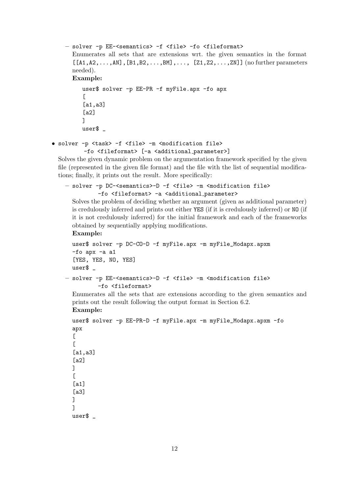```
– solver -p EE-<semantics> -f <file> -fo <fileformat>
  Enumerates all sets that are extensions wrt. the given semantics in the format
  [[A1,A2,\ldots,AN],[B1,B2,\ldots,BM],\ldots,[Z1,Z2,\ldots,ZN]] (no further parameters
  needed).
  Example:
     user$ solver -p EE-PR -f myFile.apx -fo apx
     \Gamma[a1,a3]
     [a2]
     ]
     user$ _
```

```
• solver -p <task> -f <file> -m <modification file>
```

```
-fo <fileformat> [-a <additional parameter>]
```
Solves the given dynamic problem on the argumentation framework specified by the given file (represented in the given file format) and the file with the list of sequential modifications; finally, it prints out the result. More specifically:

```
– solver -p DC-<semantics>-D -f <file> -m <modification file>
         -fo <fileformat> -a <additional_parameter>
```
Solves the problem of deciding whether an argument (given as additional parameter) is credulously inferred and prints out either YES (if it is credulously inferred) or NO (if it is not credulously inferred) for the initial framework and each of the frameworks obtained by sequentially applying modifications.

Example:

```
user$ solver -p DC-CO-D -f myFile.apx -m myFile_Modapx.apxm
  -fo apx -a a1
  [YES, YES, NO, YES]
  user$ _
– solver -p EE-<semantics>-D -f <file> -m <modification file>
```

```
-fo <fileformat>
```
Enumerates all the sets that are extensions according to the given semantics and prints out the result following the output format in Section [6.2.](#page-8-0) Example:

```
user$ solver -p EE-PR-D -f myFile.apx -m myFile_Modapx.apxm -fo
apx
\Gamma\Gamma[a1,a3]
[a2]
]
\Gamma[a1]
[a3]
]
]
user$ _
```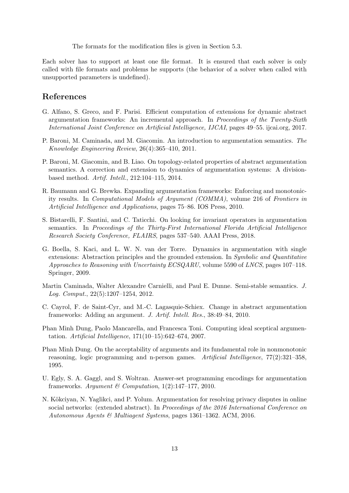The formats for the modification files is given in Section [5.3.](#page-4-0)

Each solver has to support at least one file format. It is ensured that each solver is only called with file formats and problems he supports (the behavior of a solver when called with unsupported parameters is undefined).

## References

- <span id="page-12-8"></span>G. Alfano, S. Greco, and F. Parisi. Efficient computation of extensions for dynamic abstract argumentation frameworks: An incremental approach. In Proceedings of the Twenty-Sixth International Joint Conference on Artificial Intelligence, IJCAI, pages 49–55. ijcai.org, 2017.
- <span id="page-12-3"></span>P. Baroni, M. Caminada, and M. Giacomin. An introduction to argumentation semantics. The Knowledge Engineering Review, 26(4):365–410, 2011.
- <span id="page-12-7"></span>P. Baroni, M. Giacomin, and B. Liao. On topology-related properties of abstract argumentation semantics. A correction and extension to dynamics of argumentation systems: A divisionbased method. Artif. Intell., 212:104–115, 2014.
- <span id="page-12-10"></span>R. Baumann and G. Brewka. Expanding argumentation frameworks: Enforcing and monotonicity results. In Computational Models of Argument (COMMA), volume 216 of Frontiers in Artificial Intelligence and Applications, pages 75–86. IOS Press, 2010.
- <span id="page-12-9"></span>S. Bistarelli, F. Santini, and C. Taticchi. On looking for invariant operators in argumentation semantics. In Proceedings of the Thirty-First International Florida Artificial Intelligence Research Society Conference, FLAIRS, pages 537–540. AAAI Press, 2018.
- <span id="page-12-5"></span>G. Boella, S. Kaci, and L. W. N. van der Torre. Dynamics in argumentation with single extensions: Abstraction principles and the grounded extension. In Symbolic and Quantitative Approaches to Reasoning with Uncertainty ECSQARU, volume 5590 of LNCS, pages 107–118. Springer, 2009.
- <span id="page-12-1"></span>Martin Caminada, Walter Alexandre Carnielli, and Paul E. Dunne. Semi-stable semantics. J. Log. Comput., 22(5):1207–1254, 2012.
- <span id="page-12-6"></span>C. Cayrol, F. de Saint-Cyr, and M.-C. Lagasquie-Schiex. Change in abstract argumentation frameworks: Adding an argument. J. Artif. Intell. Res., 38:49–84, 2010.
- <span id="page-12-2"></span>Phan Minh Dung, Paolo Mancarella, and Francesca Toni. Computing ideal sceptical argumentation. Artificial Intelligence, 171(10–15):642–674, 2007.
- <span id="page-12-0"></span>Phan Minh Dung. On the acceptability of arguments and its fundamental role in nonmonotonic reasoning, logic programming and n-person games. Artificial Intelligence, 77(2):321–358, 1995.
- <span id="page-12-11"></span>U. Egly, S. A. Gaggl, and S. Woltran. Answer-set programming encodings for argumentation frameworks. Argument & Computation,  $1(2):147-177$ , 2010.
- <span id="page-12-4"></span>N. Kökciyan, N. Yaglikci, and P. Yolum. Argumentation for resolving privacy disputes in online social networks: (extended abstract). In Proceedings of the 2016 International Conference on Autonomous Agents & Multiagent Systems, pages 1361–1362. ACM, 2016.